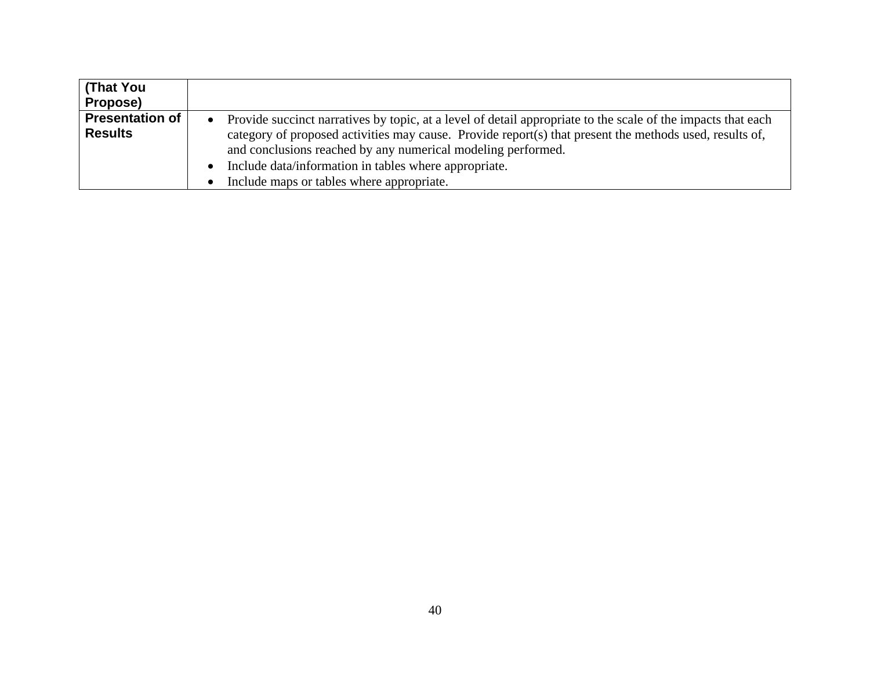| (That You              |                                                                                                                |
|------------------------|----------------------------------------------------------------------------------------------------------------|
| Propose)               |                                                                                                                |
| <b>Presentation of</b> | • Provide succinct narratives by topic, at a level of detail appropriate to the scale of the impacts that each |
| <b>Results</b>         | category of proposed activities may cause. Provide report(s) that present the methods used, results of,        |
|                        | and conclusions reached by any numerical modeling performed.                                                   |
|                        | Include data/information in tables where appropriate.                                                          |
|                        | Include maps or tables where appropriate.                                                                      |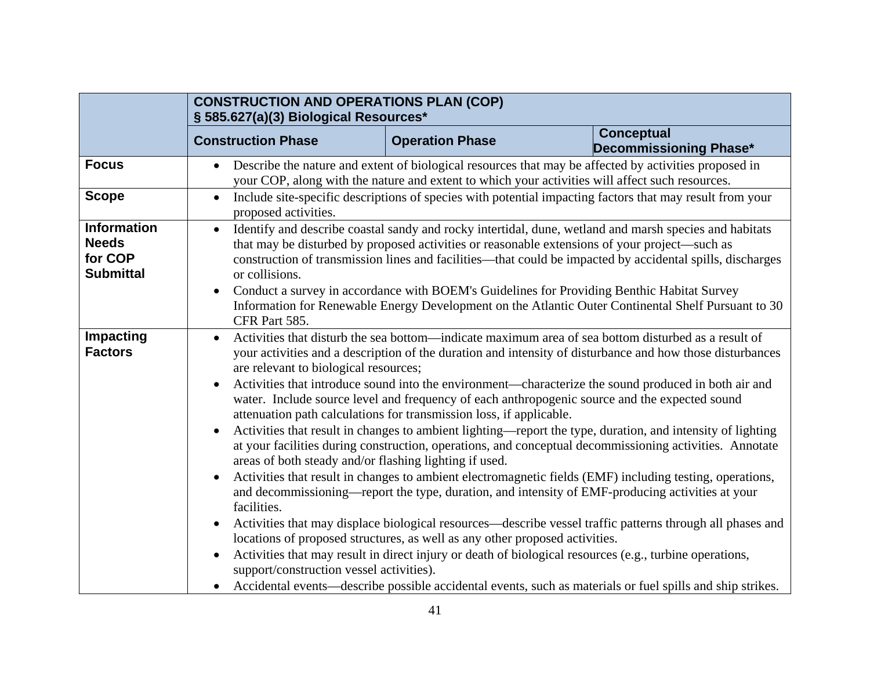|                                                                   | <b>CONSTRUCTION AND OPERATIONS PLAN (COP)</b><br>§ 585.627(a)(3) Biological Resources*                                                                                                                                                                                                                                                                                                                                                                                                                                                                                  |                        |                                                                                                                                                                                                                                                                                                                                                                                                                                                                                                                                                                                                                                                                                                                                                                                                                                                                                                                                                                                                                                                                                                                                                                                                         |
|-------------------------------------------------------------------|-------------------------------------------------------------------------------------------------------------------------------------------------------------------------------------------------------------------------------------------------------------------------------------------------------------------------------------------------------------------------------------------------------------------------------------------------------------------------------------------------------------------------------------------------------------------------|------------------------|---------------------------------------------------------------------------------------------------------------------------------------------------------------------------------------------------------------------------------------------------------------------------------------------------------------------------------------------------------------------------------------------------------------------------------------------------------------------------------------------------------------------------------------------------------------------------------------------------------------------------------------------------------------------------------------------------------------------------------------------------------------------------------------------------------------------------------------------------------------------------------------------------------------------------------------------------------------------------------------------------------------------------------------------------------------------------------------------------------------------------------------------------------------------------------------------------------|
|                                                                   | <b>Construction Phase</b>                                                                                                                                                                                                                                                                                                                                                                                                                                                                                                                                               | <b>Operation Phase</b> | <b>Conceptual</b><br>Decommissioning Phase*                                                                                                                                                                                                                                                                                                                                                                                                                                                                                                                                                                                                                                                                                                                                                                                                                                                                                                                                                                                                                                                                                                                                                             |
| <b>Focus</b>                                                      | Describe the nature and extent of biological resources that may be affected by activities proposed in<br>$\bullet$<br>your COP, along with the nature and extent to which your activities will affect such resources.                                                                                                                                                                                                                                                                                                                                                   |                        |                                                                                                                                                                                                                                                                                                                                                                                                                                                                                                                                                                                                                                                                                                                                                                                                                                                                                                                                                                                                                                                                                                                                                                                                         |
| <b>Scope</b>                                                      | Include site-specific descriptions of species with potential impacting factors that may result from your<br>$\bullet$<br>proposed activities.                                                                                                                                                                                                                                                                                                                                                                                                                           |                        |                                                                                                                                                                                                                                                                                                                                                                                                                                                                                                                                                                                                                                                                                                                                                                                                                                                                                                                                                                                                                                                                                                                                                                                                         |
| <b>Information</b><br><b>Needs</b><br>for COP<br><b>Submittal</b> | Identify and describe coastal sandy and rocky intertidal, dune, wetland and marsh species and habitats<br>$\bullet$<br>that may be disturbed by proposed activities or reasonable extensions of your project—such as<br>construction of transmission lines and facilities + that could be impacted by accidental spills, discharges<br>or collisions.<br>Conduct a survey in accordance with BOFM's Guidelines for Providing Benthic Habitat Survey<br>$\bullet$<br>Information for Renewable Energy Development on the Atlantic Outer Continental Shelf Pursuant to 30 |                        |                                                                                                                                                                                                                                                                                                                                                                                                                                                                                                                                                                                                                                                                                                                                                                                                                                                                                                                                                                                                                                                                                                                                                                                                         |
| Impacting<br><b>Factors</b>                                       | CFR Part 585.<br>$\bullet$<br>are relevant to biological resources;<br>$\bullet$<br>attenuation path calculations for transmission loss, if applicable.<br>$\bullet$<br>areas of both steady and/or flashing lighting if used.<br>$\bullet$<br>facilities.<br>$\bullet$<br>locations of proposed structures, as well as any other proposed activities.<br>$\bullet$<br>support/construction vessel activities).<br>$\bullet$                                                                                                                                            |                        | Activities that disturb the sea bottom-indicate maximum area of sea bottom disturbed as a result of<br>your activities and a description of the duration and intensity of disturbance and how those disturbances<br>Activities that introduce sound into the environment—characterize the sound produced in both air and<br>water. Include source level and frequency of each anthropogenic source and the expected sound<br>Activities that result in changes to ambient lighting—report the type, duration, and intensity of lighting<br>at your facilities during construction, operations, and conceptual decommissioning activities. Annotate<br>Activities that result in changes to ambient electromagnetic fields (EMF) including testing, operations,<br>and decommissioning—report the type, duration, and intensity of EMF-producing activities at your<br>Activities that may displace biological resources—describe vessel traffic patterns through all phases and<br>Activities that may result in direct injury or death of biological resources (e.g., turbine operations,<br>Accidental events—describe possible accidental events, such as materials or fuel spills and ship strikes. |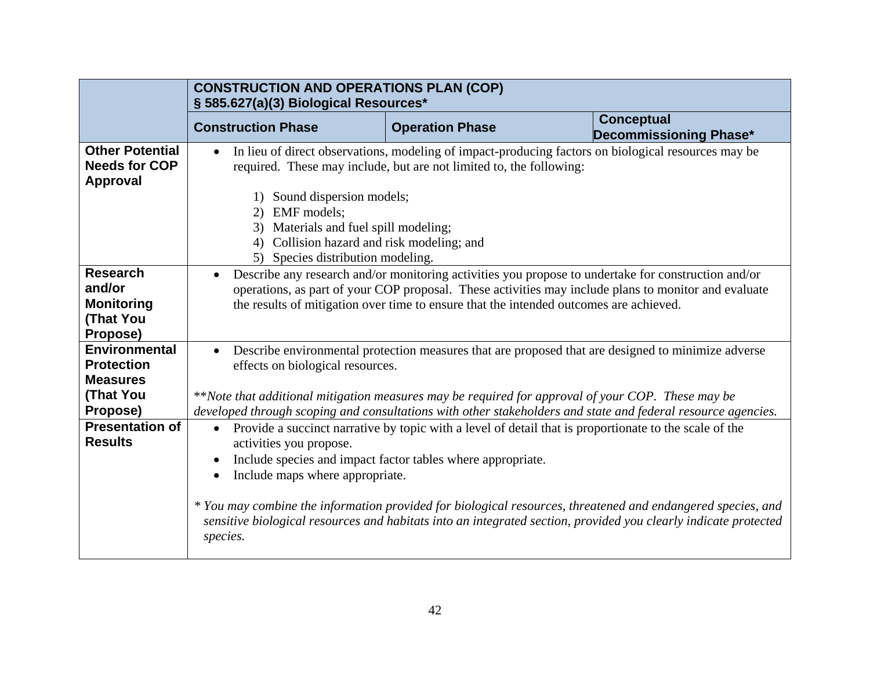|                                                            | <b>CONSTRUCTION AND OPERATIONS PLAN (COP)</b><br>§ 585.627(a)(3) Biological Resources*                                                                                                |                                                                                                        |                                                                                                                                                                                                                                |
|------------------------------------------------------------|---------------------------------------------------------------------------------------------------------------------------------------------------------------------------------------|--------------------------------------------------------------------------------------------------------|--------------------------------------------------------------------------------------------------------------------------------------------------------------------------------------------------------------------------------|
|                                                            | <b>Construction Phase</b>                                                                                                                                                             | <b>Operation Phase</b>                                                                                 | <b>Conceptual</b><br>Decommissioning Phase*                                                                                                                                                                                    |
| <b>Other Potential</b><br><b>Needs for COP</b><br>Approval | $\bullet$                                                                                                                                                                             | required. These may include, but are not limited to, the following:                                    | In lieu of direct observations, modeling of impact-producing factors on biological resources may be                                                                                                                            |
|                                                            | 1) Sound dispersion models;<br>EMF models;<br>2)<br>Materials and fuel spill modeling;<br>3)<br>Collision hazard and risk modeling; and<br>4)<br>Species distribution modeling.<br>5) |                                                                                                        |                                                                                                                                                                                                                                |
| <b>Research</b>                                            | $\bullet$                                                                                                                                                                             |                                                                                                        | Describe any research and/or monitoring activities you propose to undertake for construction and/or                                                                                                                            |
| and/or                                                     |                                                                                                                                                                                       |                                                                                                        | operations, as part of your COP proposal. These activities may include plans to monitor and evaluate                                                                                                                           |
| <b>Monitoring</b>                                          | the results of mitigation over time to ensure that the intended outcomes are achieved.                                                                                                |                                                                                                        |                                                                                                                                                                                                                                |
| (That You                                                  |                                                                                                                                                                                       |                                                                                                        |                                                                                                                                                                                                                                |
| Propose)                                                   |                                                                                                                                                                                       |                                                                                                        |                                                                                                                                                                                                                                |
| <b>Environmental</b>                                       | $\bullet$                                                                                                                                                                             |                                                                                                        | Describe environmental protection measures that are proposed that are designed to minimize adverse                                                                                                                             |
| <b>Protection</b>                                          | effects on biological resources.                                                                                                                                                      |                                                                                                        |                                                                                                                                                                                                                                |
| <b>Measures</b>                                            |                                                                                                                                                                                       |                                                                                                        |                                                                                                                                                                                                                                |
| (That You                                                  | **Note that additional mitigation measures may be required for approval of your COP. These may be                                                                                     |                                                                                                        |                                                                                                                                                                                                                                |
| Propose)                                                   |                                                                                                                                                                                       |                                                                                                        | developed through scoping and consultations with other stakeholders and state and federal resource agencies.                                                                                                                   |
| <b>Presentation of</b>                                     | $\bullet$                                                                                                                                                                             | Provide a succinct narrative by topic with a level of detail that is proportionate to the scale of the |                                                                                                                                                                                                                                |
| <b>Results</b>                                             | activities you propose.                                                                                                                                                               |                                                                                                        |                                                                                                                                                                                                                                |
|                                                            |                                                                                                                                                                                       | Include species and impact factor tables where appropriate.                                            |                                                                                                                                                                                                                                |
|                                                            | Include maps where appropriate.<br>$\bullet$                                                                                                                                          |                                                                                                        |                                                                                                                                                                                                                                |
|                                                            | species.                                                                                                                                                                              |                                                                                                        | * You may combine the information provided for biological resources, threatened and endangered species, and<br>sensitive biological resources and habitats into an integrated section, provided you clearly indicate protected |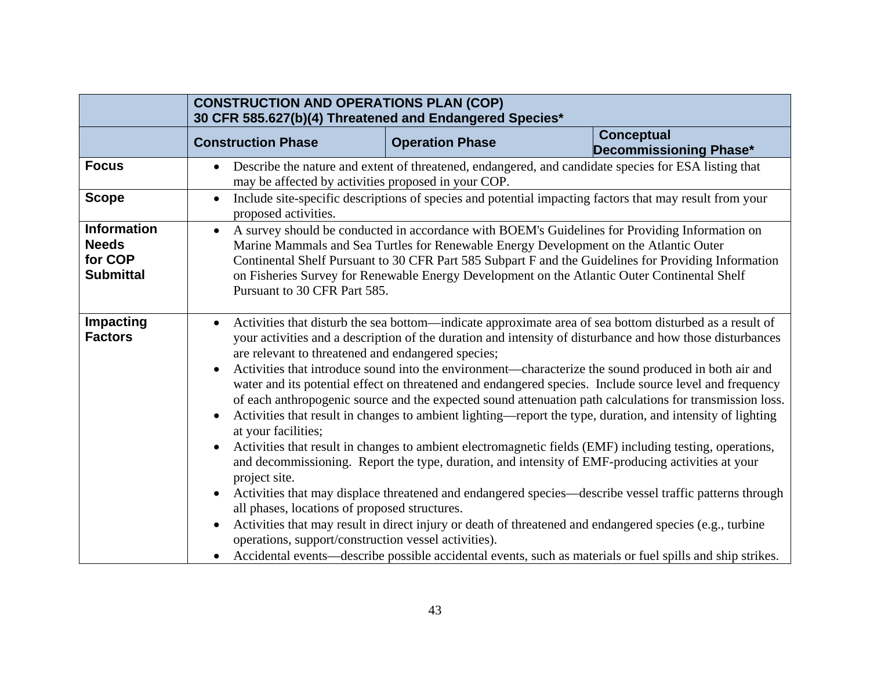|                                                                   | <b>CONSTRUCTION AND OPERATIONS PLAN (COP)</b><br>30 CFR 585.627(b)(4) Threatened and Endangered Species*                                                                                                                                                             |                        |                                                                                                                                                                                                                                                                                                                                                                                                                                                                                                                                                                                                                                                                                                                                                                                                                                                                                                                                                                                                                                                                                                                                                                                                                        |
|-------------------------------------------------------------------|----------------------------------------------------------------------------------------------------------------------------------------------------------------------------------------------------------------------------------------------------------------------|------------------------|------------------------------------------------------------------------------------------------------------------------------------------------------------------------------------------------------------------------------------------------------------------------------------------------------------------------------------------------------------------------------------------------------------------------------------------------------------------------------------------------------------------------------------------------------------------------------------------------------------------------------------------------------------------------------------------------------------------------------------------------------------------------------------------------------------------------------------------------------------------------------------------------------------------------------------------------------------------------------------------------------------------------------------------------------------------------------------------------------------------------------------------------------------------------------------------------------------------------|
|                                                                   | <b>Construction Phase</b>                                                                                                                                                                                                                                            | <b>Operation Phase</b> | <b>Conceptual</b><br>Decommissioning Phase*                                                                                                                                                                                                                                                                                                                                                                                                                                                                                                                                                                                                                                                                                                                                                                                                                                                                                                                                                                                                                                                                                                                                                                            |
| <b>Focus</b>                                                      | may be affected by activities proposed in your COP.                                                                                                                                                                                                                  |                        | Describe the nature and extent of threatened, endangered, and candidate species for ESA listing that                                                                                                                                                                                                                                                                                                                                                                                                                                                                                                                                                                                                                                                                                                                                                                                                                                                                                                                                                                                                                                                                                                                   |
| <b>Scope</b>                                                      | $\bullet$<br>proposed activities.                                                                                                                                                                                                                                    |                        | Include site-specific descriptions of species and potential impacting factors that may result from your                                                                                                                                                                                                                                                                                                                                                                                                                                                                                                                                                                                                                                                                                                                                                                                                                                                                                                                                                                                                                                                                                                                |
| <b>Information</b><br><b>Needs</b><br>for COP<br><b>Submittal</b> | $\bullet$<br>Pursuant to 30 CFR Part 585.                                                                                                                                                                                                                            |                        | A survey should be conducted in accordance with BOEM's Guidelines for Providing Information on<br>Marine Mammals and Sea Turtles for Renewable Energy Development on the Atlantic Outer<br>Continental Shelf Pursuant to 30 CFR Part 585 Subpart F and the Guidelines for Providing Information<br>on Fisheries Survey for Renewable Energy Development on the Atlantic Outer Continental Shelf                                                                                                                                                                                                                                                                                                                                                                                                                                                                                                                                                                                                                                                                                                                                                                                                                        |
| <b>Impacting</b><br><b>Factors</b>                                | $\bullet$<br>are relevant to threatened and endangered species;<br>$\bullet$<br>at your facilities;<br>project site.<br>$\bullet$<br>all phases, locations of proposed structures.<br>$\bullet$<br>operations, support/construction vessel activities).<br>$\bullet$ |                        | Activities that disturb the sea bottom—indicate approximate area of sea bottom disturbed as a result of<br>your activities and a description of the duration and intensity of disturbance and how those disturbances<br>Activities that introduce sound into the environment—characterize the sound produced in both air and<br>water and its potential effect on threatened and endangered species. Include source level and frequency<br>of each anthropogenic source and the expected sound attenuation path calculations for transmission loss.<br>Activities that result in changes to ambient lighting—report the type, duration, and intensity of lighting<br>Activities that result in changes to ambient electromagnetic fields (EMF) including testing, operations,<br>and decommissioning. Report the type, duration, and intensity of EMF-producing activities at your<br>Activities that may displace threatened and endangered species—describe vessel traffic patterns through<br>Activities that may result in direct injury or death of threatened and endangered species (e.g., turbine<br>Accidental events—describe possible accidental events, such as materials or fuel spills and ship strikes. |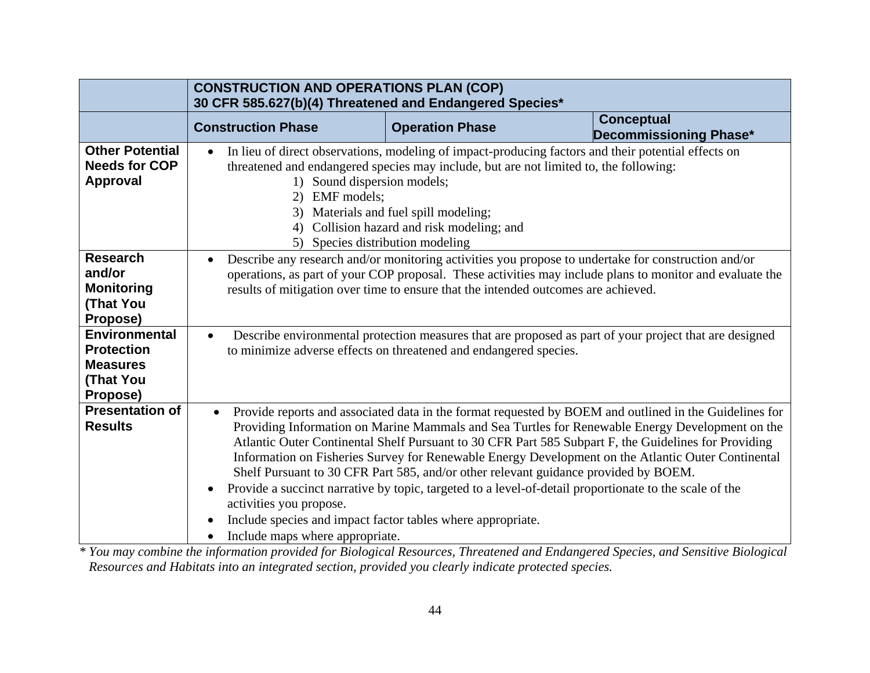|                                                                                       | <b>CONSTRUCTION AND OPERATIONS PLAN (COP)</b><br>30 CFR 585.627(b)(4) Threatened and Endangered Species*                                                                                                                                                                                              |                                                                                                                                                                                                                                                                                                                                                                                                                                                                                                                                                                                                                          |                                             |
|---------------------------------------------------------------------------------------|-------------------------------------------------------------------------------------------------------------------------------------------------------------------------------------------------------------------------------------------------------------------------------------------------------|--------------------------------------------------------------------------------------------------------------------------------------------------------------------------------------------------------------------------------------------------------------------------------------------------------------------------------------------------------------------------------------------------------------------------------------------------------------------------------------------------------------------------------------------------------------------------------------------------------------------------|---------------------------------------------|
|                                                                                       | <b>Construction Phase</b>                                                                                                                                                                                                                                                                             | <b>Operation Phase</b>                                                                                                                                                                                                                                                                                                                                                                                                                                                                                                                                                                                                   | <b>Conceptual</b><br>Decommissioning Phase* |
| <b>Other Potential</b><br><b>Needs for COP</b><br><b>Approval</b>                     | 1) Sound dispersion models;<br><b>EMF</b> models;<br>(2)<br>4)<br>5) Species distribution modeling                                                                                                                                                                                                    | In lieu of direct observations, modeling of impact-producing factors and their potential effects on<br>threatened and endangered species may include, but are not limited to, the following:<br>3) Materials and fuel spill modeling;<br>Collision hazard and risk modeling; and                                                                                                                                                                                                                                                                                                                                         |                                             |
| <b>Research</b><br>and/or<br><b>Monitoring</b><br>(That You<br>Propose)               | Describe any research and/or monitoring activities you propose to undertake for construction and/or<br>operations, as part of your COP proposal. These activities may include plans to monitor and evaluate the<br>results of mitigation over time to ensure that the intended outcomes are achieved. |                                                                                                                                                                                                                                                                                                                                                                                                                                                                                                                                                                                                                          |                                             |
| <b>Environmental</b><br><b>Protection</b><br><b>Measures</b><br>(That You<br>Propose) | Describe environmental protection measures that are proposed as part of your project that are designed<br>to minimize adverse effects on threatened and endangered species.                                                                                                                           |                                                                                                                                                                                                                                                                                                                                                                                                                                                                                                                                                                                                                          |                                             |
| <b>Presentation of</b><br><b>Results</b>                                              | $\bullet$<br>$\bullet$<br>activities you propose.<br>Include species and impact factor tables where appropriate.<br>Include maps where appropriate.                                                                                                                                                   | Provide reports and associated data in the format requested by BOEM and outlined in the Guidelines for<br>Providing Information on Marine Mammals and Sea Turtles for Renewable Energy Development on the<br>Atlantic Quter Continental Shelf Pursuant to 30 CFR Part 585 Subpart F, the Guidelines for Providing<br>Information on Fisheries Survey for Renewable Energy Development on the Atlantic Outer Continental<br>Shelf Pursuant to 30 CFR Part 585, and/or other relevant guidance provided by BOEM.<br>Provide a succinct narrative by topic, targeted to a level-of-detail proportionate to the scale of the |                                             |

*\* You may combine the information provided for Biological Resources, Threatened and Endangered Species, and Sensitive Biological Resources and Habitats into an integrated section, provided you clearly indicate protected species.*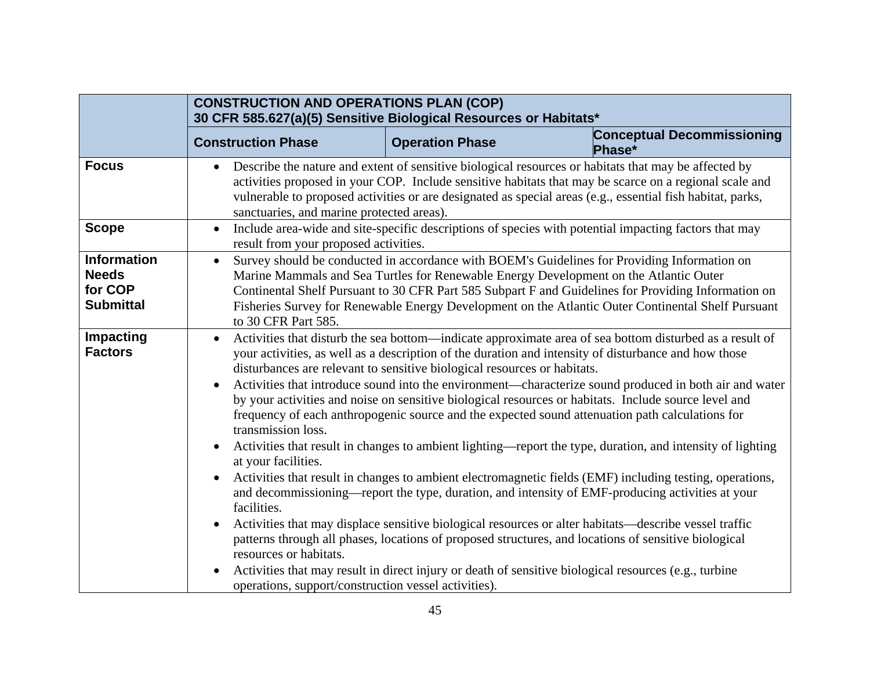|                                                                   | <b>CONSTRUCTION AND OPERATIONS PLAN (COP)</b><br>30 CFR 585.627(a)(5) Sensitive Biological Resources or Habitats*                                                                                                                                                                                                                                                                                                                      |                        |                                                                                                                                                                                                                                                                                                                                                                                                                                                                                                                                                                                                                                                                                                                                                                                                                                                                                                                                                                                                                                                                                                                                                                                              |
|-------------------------------------------------------------------|----------------------------------------------------------------------------------------------------------------------------------------------------------------------------------------------------------------------------------------------------------------------------------------------------------------------------------------------------------------------------------------------------------------------------------------|------------------------|----------------------------------------------------------------------------------------------------------------------------------------------------------------------------------------------------------------------------------------------------------------------------------------------------------------------------------------------------------------------------------------------------------------------------------------------------------------------------------------------------------------------------------------------------------------------------------------------------------------------------------------------------------------------------------------------------------------------------------------------------------------------------------------------------------------------------------------------------------------------------------------------------------------------------------------------------------------------------------------------------------------------------------------------------------------------------------------------------------------------------------------------------------------------------------------------|
|                                                                   | <b>Construction Phase</b>                                                                                                                                                                                                                                                                                                                                                                                                              | <b>Operation Phase</b> | <b>Conceptual Decommissioning</b><br>Phase*                                                                                                                                                                                                                                                                                                                                                                                                                                                                                                                                                                                                                                                                                                                                                                                                                                                                                                                                                                                                                                                                                                                                                  |
| <b>Focus</b>                                                      | $\bullet$<br>sanctuaries, and marine protected areas).                                                                                                                                                                                                                                                                                                                                                                                 |                        | Describe the nature and extent of sensitive biological resources or habitats that may be affected by<br>activities proposed in your COP. Include sensitive habitats that may be scarce on a regional scale and<br>vulnerable to proposed activities or are designated as special areas (e.g., essential fish habitat, parks,                                                                                                                                                                                                                                                                                                                                                                                                                                                                                                                                                                                                                                                                                                                                                                                                                                                                 |
| <b>Scope</b>                                                      | $\bullet$<br>result from your proposed activities.                                                                                                                                                                                                                                                                                                                                                                                     |                        | Include area-wide and site-specific descriptions of species with potential impacting factors that may                                                                                                                                                                                                                                                                                                                                                                                                                                                                                                                                                                                                                                                                                                                                                                                                                                                                                                                                                                                                                                                                                        |
| <b>Information</b><br><b>Needs</b><br>for COP<br><b>Submittal</b> | Survey should be conducted in accordance with BOEM's Guidelines for Providing Information on<br>$\bullet$<br>Marine Mammals and Sea Turtles for Renewable Energy Development on the Atlantic Outer<br>Continental Shelf Pursuant to 30 CFR Part 585 Subpart F and Guidelines for Providing Information on<br>Fisheries Survey for Renewable Energy Development on the Atlantic Outer Continental Shelf Pursuant<br>to 30 CFR Part 585. |                        |                                                                                                                                                                                                                                                                                                                                                                                                                                                                                                                                                                                                                                                                                                                                                                                                                                                                                                                                                                                                                                                                                                                                                                                              |
| <b>Impacting</b><br><b>Factors</b>                                | $\bullet$<br>disturbances are relevant to sensitive biological resources or habitats.<br>$\bullet$<br>transmission loss.<br>at your facilities.<br>$\bullet$<br>facilities.<br>$\bullet$<br>resources or habitats.<br>$\bullet$<br>operations, support/construction vessel activities).                                                                                                                                                |                        | Activities that disturb the sea bottom indicate approximate area of sea bottom disturbed as a result of<br>your activities, as well as a description of the duration and intensity of disturbance and how those<br>Activities that introduce sound into the environment—characterize sound produced in both air and water<br>by your activities and noise on sensitive biological resources or habitats. Include source level and<br>frequency of each anthropogenic source and the expected sound attenuation path calculations for<br>Activities that result in changes to ambient lighting—report the type, duration, and intensity of lighting<br>Activities that result in changes to ambient electromagnetic fields (EMF) including testing, operations,<br>and decommissioning—report the type, duration, and intensity of EMF-producing activities at your<br>Activities that may displace sensitive biological resources or alter habitats—describe vessel traffic<br>patterns through all phases, locations of proposed structures, and locations of sensitive biological<br>Activities that may result in direct injury or death of sensitive biological resources (e.g., turbine |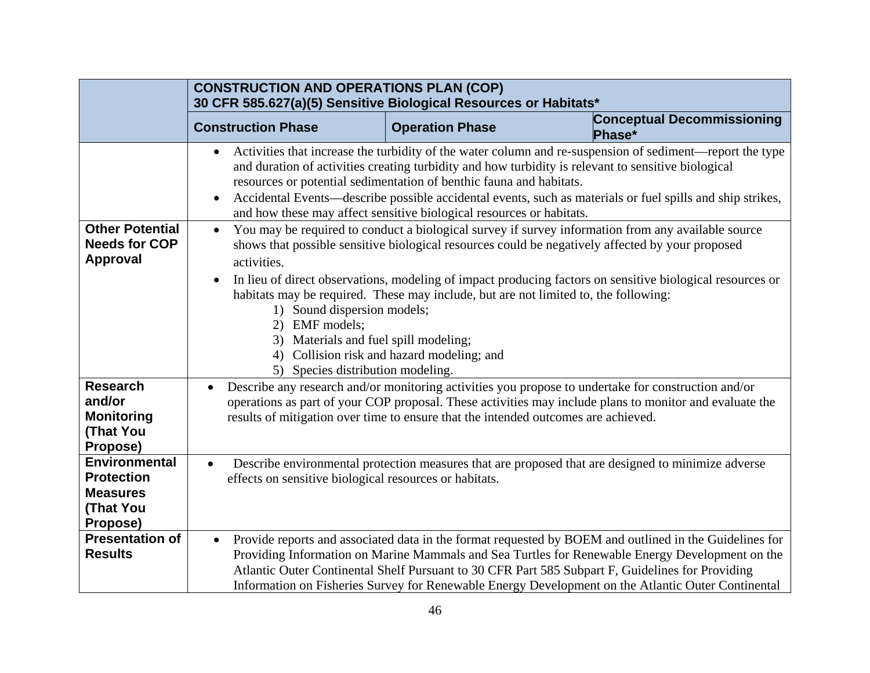|                                                                                              | <b>CONSTRUCTION AND OPERATIONS PLAN (COP)</b><br>30 CFR 585.627(a)(5) Sensitive Biological Resources or Habitats*                                                    |                                                                                                                                             |                                                                                                                                                                                                                                                                                                                                                                                                                     |
|----------------------------------------------------------------------------------------------|----------------------------------------------------------------------------------------------------------------------------------------------------------------------|---------------------------------------------------------------------------------------------------------------------------------------------|---------------------------------------------------------------------------------------------------------------------------------------------------------------------------------------------------------------------------------------------------------------------------------------------------------------------------------------------------------------------------------------------------------------------|
|                                                                                              | <b>Construction Phase</b>                                                                                                                                            | <b>Operation Phase</b>                                                                                                                      | <b>Conceptual Decommissioning</b><br>Phase*                                                                                                                                                                                                                                                                                                                                                                         |
|                                                                                              | $\bullet$<br>$\bullet$                                                                                                                                               | resources or potential sedimentation of benthic fauna and habitats.<br>and how these may affect sensitive biological resources or habitats. | Activities that increase the turbidity of the water column and re-suspension of sediment—report the type<br>and duration of activities creating turbidity and how turbidity is relevant to sensitive biological<br>Accidental Events—describe possible accidental events, such as materials or fuel spills and ship strikes,                                                                                        |
| <b>Other Potential</b><br><b>Needs for COP</b><br><b>Approval</b>                            | $\bullet$<br>activities.<br>$\bullet$<br>1) Sound dispersion models;<br>2) EMF models;<br>3) Materials and fuel spill modeling;<br>5) Species distribution modeling. | habitats may be required. These may include, but are not limited to, the following:<br>4) Collision risk and hazard modeling; and           | You may be required to conduct a biological survey if survey information from any available source<br>shows that possible sensitive biological resources could be negatively affected by your proposed<br>In lieu of direct observations, modeling of impact producing factors on sensitive biological resources or                                                                                                 |
| <b>Research</b><br>and/or<br><b>Monitoring</b><br><b>(That You</b><br>Propose)               | results of mitigation over time to ensure that the intended outcomes are achieved.                                                                                   |                                                                                                                                             | Describe any research and or monitoring activities you propose to undertake for construction and/or<br>operations as part of your COP proposal. These activities may include plans to monitor and evaluate the                                                                                                                                                                                                      |
| <b>Environmental</b><br><b>Protection</b><br><b>Measures</b><br><b>(That You</b><br>Propose) | Describe environmental protection measures that are proposed that are designed to minimize adverse<br>effects on sensitive biological resources or habitats.         |                                                                                                                                             |                                                                                                                                                                                                                                                                                                                                                                                                                     |
| <b>Presentation of</b><br><b>Results</b>                                                     | $\bullet$                                                                                                                                                            |                                                                                                                                             | Provide reports and associated data in the format requested by BOEM and outlined in the Guidelines for<br>Providing Information on Marine Mammals and Sea Turtles for Renewable Energy Development on the<br>Atlantic Outer Continental Shelf Pursuant to 30 CFR Part 585 Subpart F, Guidelines for Providing<br>Information on Fisheries Survey for Renewable Energy Development on the Atlantic Outer Continental |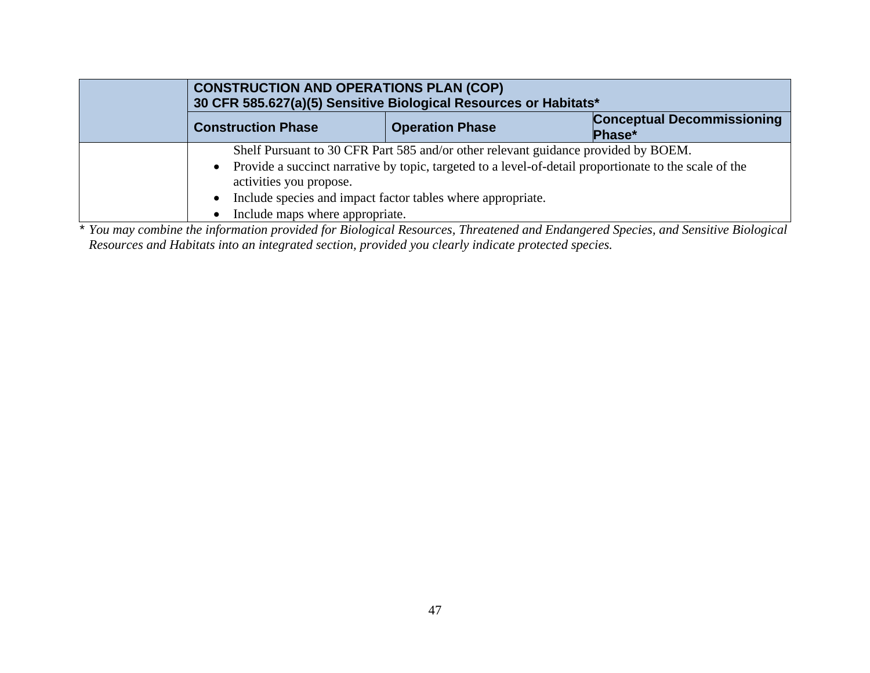| <b>CONSTRUCTION AND OPERATIONS PLAN (COP)</b><br>30 CFR 585.627(a)(5) Sensitive Biological Resources or Habitats* |                                                                                                                                                                                                                                                             |                                             |
|-------------------------------------------------------------------------------------------------------------------|-------------------------------------------------------------------------------------------------------------------------------------------------------------------------------------------------------------------------------------------------------------|---------------------------------------------|
| <b>Construction Phase</b>                                                                                         | <b>Operation Phase</b>                                                                                                                                                                                                                                      | <b>Conceptual Decommissioning</b><br>Phase* |
| $\bullet$<br>activities you propose.<br>$\bullet$<br>Include maps where appropriate.<br>$\bullet$                 | Shelf Pursuant to 30 CFR Part 585 and/or other relevant guidance provided by BOEM.<br>Provide a succinct narrative by topic, targeted to a level-of-detail proportionate to the scale of the<br>Include species and impact factor tables where appropriate. |                                             |

*\* You may combine the information provided for Biological Resources, Threatened and Endangered Species, and Sensitive Biological Resources and Habitats into an integrated section, provided you clearly indicate protected species.*

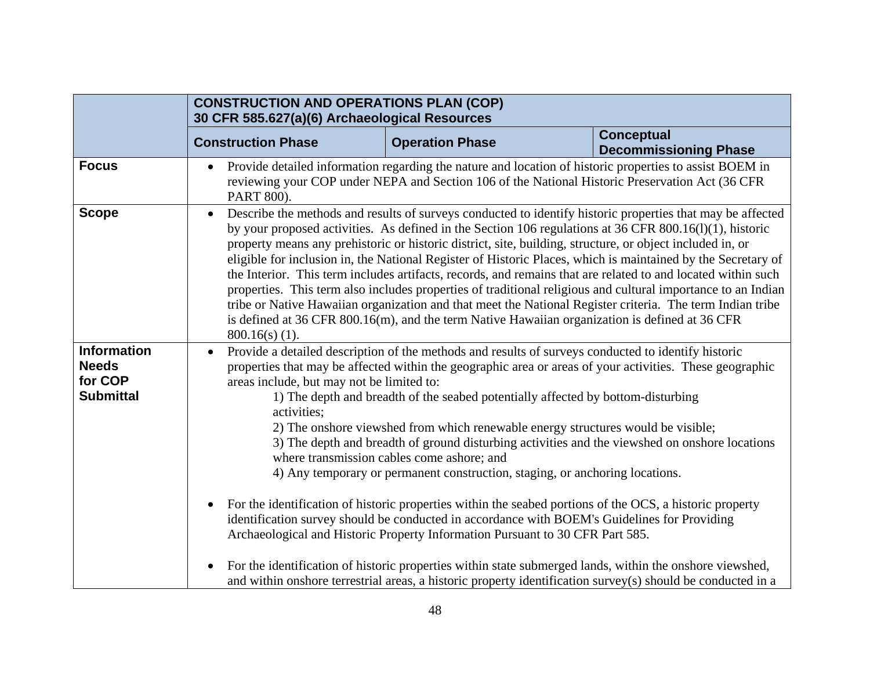|                                                                   | <b>CONSTRUCTION AND OPERATIONS PLAN (COP)</b><br>30 CFR 585.627(a)(6) Archaeological Resources                                                                                                                                                                                                                                                                                                                                                                                                                                                                                                                                                                                                                                                                                                                                                                                                                                                                                                                                                                                                                         |                                                                                                                                                                                                            |                                                                                                             |
|-------------------------------------------------------------------|------------------------------------------------------------------------------------------------------------------------------------------------------------------------------------------------------------------------------------------------------------------------------------------------------------------------------------------------------------------------------------------------------------------------------------------------------------------------------------------------------------------------------------------------------------------------------------------------------------------------------------------------------------------------------------------------------------------------------------------------------------------------------------------------------------------------------------------------------------------------------------------------------------------------------------------------------------------------------------------------------------------------------------------------------------------------------------------------------------------------|------------------------------------------------------------------------------------------------------------------------------------------------------------------------------------------------------------|-------------------------------------------------------------------------------------------------------------|
|                                                                   | <b>Construction Phase</b>                                                                                                                                                                                                                                                                                                                                                                                                                                                                                                                                                                                                                                                                                                                                                                                                                                                                                                                                                                                                                                                                                              | <b>Operation Phase</b>                                                                                                                                                                                     | <b>Conceptual</b><br><b>Decommissioning Phase</b>                                                           |
| <b>Focus</b>                                                      | PART 800).                                                                                                                                                                                                                                                                                                                                                                                                                                                                                                                                                                                                                                                                                                                                                                                                                                                                                                                                                                                                                                                                                                             | Provide detailed information regarding the nature and location of historic properties to assist BOEM in<br>reviewing your COP under NEPA and Section 106 of the National Historic Preservation Act (36 CFR |                                                                                                             |
| <b>Scope</b>                                                      | Describe the methods and results of surveys conducted to identify historic properties that may be affected<br>$\bullet$<br>by your proposed activities. As defined in the Section 106 regulations at 36 CFR 800.16(1)(1), historic<br>property means any prehistoric or historic district, site, building, structure, or object included in, or<br>eligible for inclusion in, the National Register of Historic Places, which is maintained by the Secretary of<br>the Interior. This term includes artifacts, records, and remains that are related to and located within such<br>properties. This term also includes properties of traditional religious and cultural importance to an Indian<br>tribe or Native Hawaiian organization and that meet the National Register criteria. The term Indian tribe<br>is defined at 36 CFR 800.16(m), and the term Native Hawaiian organization is defined at 36 CFR<br>$800.16(s)$ (1).                                                                                                                                                                                     |                                                                                                                                                                                                            |                                                                                                             |
| <b>Information</b><br><b>Needs</b><br>for COP<br><b>Submittal</b> | Provide a detailed description of the methods and results of surveys conducted to identify historic<br>$\bullet$<br>properties that may be affected within the geographic area or areas of your activities. These geographic<br>areas include, but may not be limited to:<br>1) The depth and breadth of the seabed potentially affected by bottom-disturbing<br>activities;<br>2) The onshore viewshed from which renewable energy structures would be visible;<br>3) The depth and breadth of ground disturbing activities and the viewshed on onshore locations<br>where transmission cables come ashore; and<br>4) Any temporary or permanent construction, staging, or anchoring locations.<br>For the identification of historic properties within the seabed portions of the OCS, a historic property<br>$\bullet$<br>identification survey should be conducted in accordance with BOEM's Guidelines for Providing<br>Archaeological and Historic Property Information Pursuant to 30 CFR Part 585.<br>For the identification of historic properties within state submerged lands, within the onshore viewshed, |                                                                                                                                                                                                            | and within onshore terrestrial areas, a historic property identification survey(s) should be conducted in a |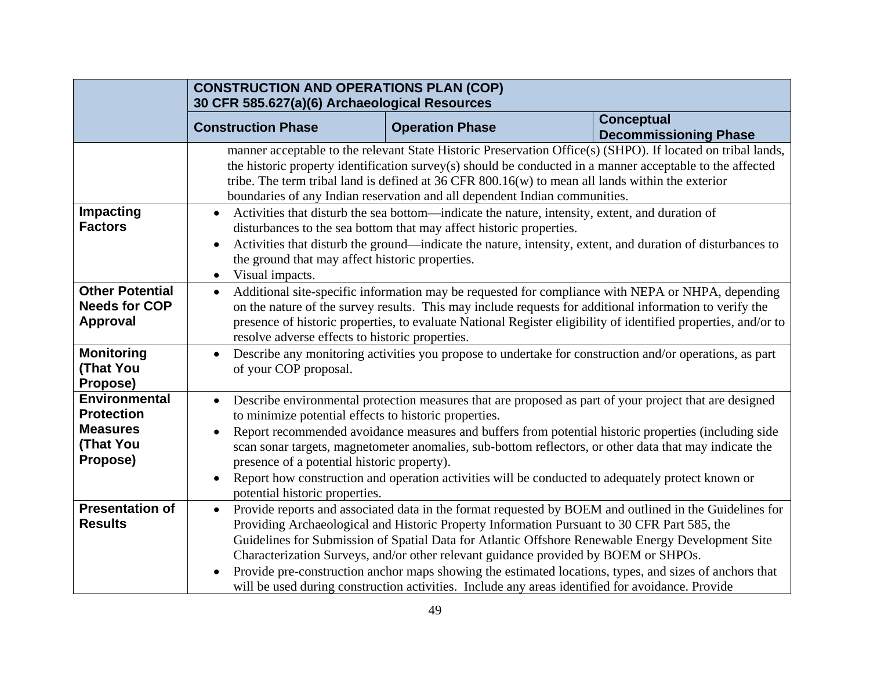| <b>CONSTRUCTION AND OPERATIONS PLAN (COP)</b><br>30 CFR 585.627(a)(6) Archaeological Resources                                                                                                                                                                                                                                                                       |                                |                                                                                                                                                                                                                                                                                                                                                                                                                                                                                                                                                                                                                                                                                                                                                                                                                                                                                                                                                                                                                                                                                                                                                                                                                                                                                                                                                                                                                                                                                                                                                                                                                                                                                                                                                                                                                                                                                                                                                                                                                                                |
|----------------------------------------------------------------------------------------------------------------------------------------------------------------------------------------------------------------------------------------------------------------------------------------------------------------------------------------------------------------------|--------------------------------|------------------------------------------------------------------------------------------------------------------------------------------------------------------------------------------------------------------------------------------------------------------------------------------------------------------------------------------------------------------------------------------------------------------------------------------------------------------------------------------------------------------------------------------------------------------------------------------------------------------------------------------------------------------------------------------------------------------------------------------------------------------------------------------------------------------------------------------------------------------------------------------------------------------------------------------------------------------------------------------------------------------------------------------------------------------------------------------------------------------------------------------------------------------------------------------------------------------------------------------------------------------------------------------------------------------------------------------------------------------------------------------------------------------------------------------------------------------------------------------------------------------------------------------------------------------------------------------------------------------------------------------------------------------------------------------------------------------------------------------------------------------------------------------------------------------------------------------------------------------------------------------------------------------------------------------------------------------------------------------------------------------------------------------------|
| <b>Construction Phase</b>                                                                                                                                                                                                                                                                                                                                            | <b>Operation Phase</b>         | <b>Conceptual</b><br><b>Decommissioning Phase</b>                                                                                                                                                                                                                                                                                                                                                                                                                                                                                                                                                                                                                                                                                                                                                                                                                                                                                                                                                                                                                                                                                                                                                                                                                                                                                                                                                                                                                                                                                                                                                                                                                                                                                                                                                                                                                                                                                                                                                                                              |
|                                                                                                                                                                                                                                                                                                                                                                      |                                |                                                                                                                                                                                                                                                                                                                                                                                                                                                                                                                                                                                                                                                                                                                                                                                                                                                                                                                                                                                                                                                                                                                                                                                                                                                                                                                                                                                                                                                                                                                                                                                                                                                                                                                                                                                                                                                                                                                                                                                                                                                |
| $\bullet$<br>Visual impacts.<br>$\bullet$                                                                                                                                                                                                                                                                                                                            |                                |                                                                                                                                                                                                                                                                                                                                                                                                                                                                                                                                                                                                                                                                                                                                                                                                                                                                                                                                                                                                                                                                                                                                                                                                                                                                                                                                                                                                                                                                                                                                                                                                                                                                                                                                                                                                                                                                                                                                                                                                                                                |
| $\bullet$                                                                                                                                                                                                                                                                                                                                                            |                                |                                                                                                                                                                                                                                                                                                                                                                                                                                                                                                                                                                                                                                                                                                                                                                                                                                                                                                                                                                                                                                                                                                                                                                                                                                                                                                                                                                                                                                                                                                                                                                                                                                                                                                                                                                                                                                                                                                                                                                                                                                                |
| $\bullet$<br>of your COP proposal.                                                                                                                                                                                                                                                                                                                                   |                                |                                                                                                                                                                                                                                                                                                                                                                                                                                                                                                                                                                                                                                                                                                                                                                                                                                                                                                                                                                                                                                                                                                                                                                                                                                                                                                                                                                                                                                                                                                                                                                                                                                                                                                                                                                                                                                                                                                                                                                                                                                                |
| $\bullet$                                                                                                                                                                                                                                                                                                                                                            |                                |                                                                                                                                                                                                                                                                                                                                                                                                                                                                                                                                                                                                                                                                                                                                                                                                                                                                                                                                                                                                                                                                                                                                                                                                                                                                                                                                                                                                                                                                                                                                                                                                                                                                                                                                                                                                                                                                                                                                                                                                                                                |
| Report recommended avoidance measures and buffers from potential historic properties (including side<br>scan son art targets, magnetometer anomalies, sub-bottom reflectors, or other data that may indicate the<br>presence of a potential historic property).<br>Report how construction and operation activities will be conducted to adequately protect known or |                                |                                                                                                                                                                                                                                                                                                                                                                                                                                                                                                                                                                                                                                                                                                                                                                                                                                                                                                                                                                                                                                                                                                                                                                                                                                                                                                                                                                                                                                                                                                                                                                                                                                                                                                                                                                                                                                                                                                                                                                                                                                                |
| $\bullet$                                                                                                                                                                                                                                                                                                                                                            |                                |                                                                                                                                                                                                                                                                                                                                                                                                                                                                                                                                                                                                                                                                                                                                                                                                                                                                                                                                                                                                                                                                                                                                                                                                                                                                                                                                                                                                                                                                                                                                                                                                                                                                                                                                                                                                                                                                                                                                                                                                                                                |
|                                                                                                                                                                                                                                                                                                                                                                      | potential historic properties. | manner acceptable to the relevant State Historic Preservation Office(s) (SHPO). If located on tribal lands,<br>the historic property identification survey(s) should be conducted in a manner acceptable to the affected<br>tribe. The term tribal land is defined at $36$ CFR $800.16(w)$ to mean all lands within the exterior<br>boundaries of any Indian reservation and all dependent Indian communities.<br>Activities that disturb the sea bottom—indicate the nature, intensity, extent, and duration of<br>disturbances to the sea bottom that may affect historic properties.<br>Activities that disturb the ground—indicate the nature, intensity, extent, and duration of disturbances to<br>the ground that may affect historic properties.<br>Additional site-specific information may be requested for compliance with NEPA or NHPA, depending<br>on the nature of the survey results. This may include requests for additional information to verify the<br>presence of historic properties, to evaluate National Register eligibility of identified properties, and/or to<br>resolve adverse effects to historic properties.<br>Describe any monitoring activities you propose to undertake for construction and/or operations, as part<br>Describe environmental protection measures that are proposed as part of your project that are designed<br>to minimize potential effects to historic properties.<br>Provide reports and associated data in the format requested by BOEM and outlined in the Guidelines for<br>Providing Archaeological and Historic Property Information Pursuant to 30 CFR Part 585, the<br>Guidelines for Submission of Spatial Data for Atlantic Offshore Renewable Energy Development Site<br>Characterization Surveys, and/or other relevant guidance provided by BOEM or SHPOs.<br>Provide pre-construction anchor maps showing the estimated locations, types, and sizes of anchors that<br>will be used during construction activities. Include any areas identified for avoidance. Provide |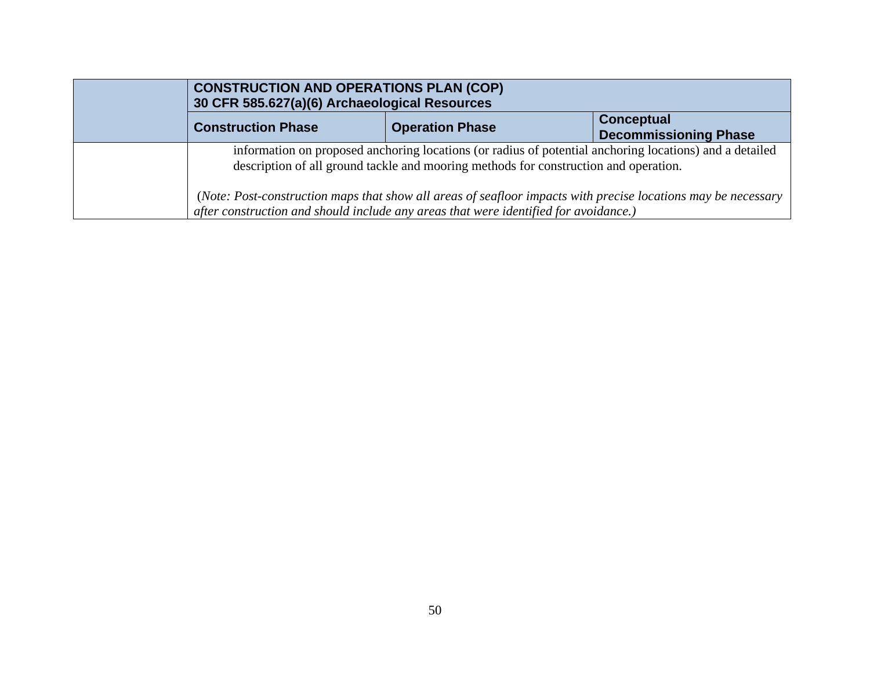| <b>CONSTRUCTION AND OPERATIONS PLAN (COP)</b><br>30 CFR 585.627(a)(6) Archaeological Resources |                                                                                                                                                                                                       |                                                   |
|------------------------------------------------------------------------------------------------|-------------------------------------------------------------------------------------------------------------------------------------------------------------------------------------------------------|---------------------------------------------------|
| <b>Construction Phase</b>                                                                      | <b>Operation Phase</b>                                                                                                                                                                                | <b>Conceptual</b><br><b>Decommissioning Phase</b> |
|                                                                                                | information on proposed anchoring locations (or radius of potential anchoring locations) and a detailed<br>description of all ground tackle and mooring methods for construction and operation.       |                                                   |
|                                                                                                | (Note: Post-construction maps that show all areas of seafloor impacts with precise locations may be necessary<br>after construction and should include any areas that were identified for avoidance.) |                                                   |
|                                                                                                |                                                                                                                                                                                                       |                                                   |
|                                                                                                | $\sum_{i=1}^{n}$                                                                                                                                                                                      |                                                   |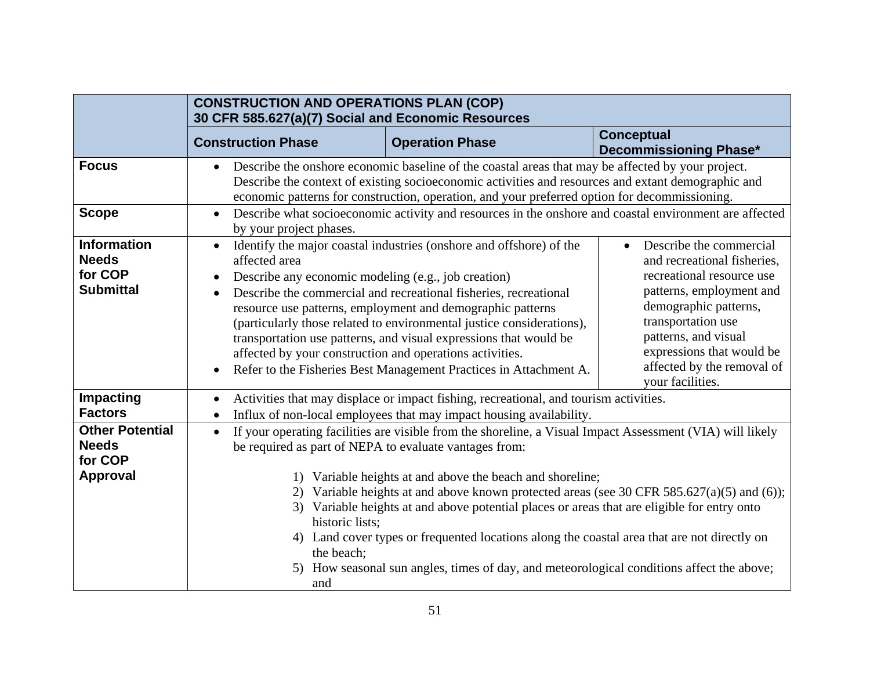|                                                                      | <b>CONSTRUCTION AND OPERATIONS PLAN (COP)</b><br>30 CFR 585.627(a)(7) Social and Economic Resources                                                        |                                                                                                                                                                                                                                                                                                                                                                                                                                                                                                                                                        |                                                                                                                                                                                                                                                                       |
|----------------------------------------------------------------------|------------------------------------------------------------------------------------------------------------------------------------------------------------|--------------------------------------------------------------------------------------------------------------------------------------------------------------------------------------------------------------------------------------------------------------------------------------------------------------------------------------------------------------------------------------------------------------------------------------------------------------------------------------------------------------------------------------------------------|-----------------------------------------------------------------------------------------------------------------------------------------------------------------------------------------------------------------------------------------------------------------------|
|                                                                      | <b>Construction Phase</b>                                                                                                                                  | <b>Operation Phase</b>                                                                                                                                                                                                                                                                                                                                                                                                                                                                                                                                 | <b>Conceptual</b><br><b>Decommissioning Phase*</b>                                                                                                                                                                                                                    |
| <b>Focus</b>                                                         |                                                                                                                                                            | Describe the onshore economic baseline of the coastal areas that may be affected by your project.<br>Describe the context of existing socioeconomic activities and resources and extant demographic and<br>economic patterns for construction, operation, and your preferred option for decommissioning.                                                                                                                                                                                                                                               |                                                                                                                                                                                                                                                                       |
| <b>Scope</b>                                                         | $\bullet$<br>by your project phases.                                                                                                                       | Describe what socioeconomic activity and resources in the onshore and coastal environment are affected                                                                                                                                                                                                                                                                                                                                                                                                                                                 |                                                                                                                                                                                                                                                                       |
| <b>Information</b><br><b>Needs</b><br>for COP<br><b>Submittal</b>    | $\bullet$<br>affected area<br>Describe any economic modeling (e.g., job creation)<br>affected by your construction and operations activities.<br>$\bullet$ | Identify the major coastal industries (onshore and offshore) of the<br>Describe the commercial and recreational fisheries, recreational<br>resource use patterns, employment and demographic patterns<br>(particularly those related to environmental justice considerations),<br>transportation use patterns, and visual expressions that would be<br>Refer to the Fisheries Best Management Practices in Attachment A.                                                                                                                               | Describe the commercial<br>and recreational fisheries,<br>recreational resource use<br>patterns, employment and<br>demographic patterns,<br>transportation use<br>patterns, and visual<br>expressions that would be<br>affected by the removal of<br>your facilities. |
| Impacting<br><b>Factors</b>                                          |                                                                                                                                                            | Activities that may displace or impact fishing, recreational, and tourism activities.<br>Influx of non-local employees that may impact housing availability.                                                                                                                                                                                                                                                                                                                                                                                           |                                                                                                                                                                                                                                                                       |
| <b>Other Potential</b><br><b>Needs</b><br>for COP<br><b>Approval</b> | $\bullet$<br>be required as part of NEPA to evaluate vantages from:<br>historic lists:<br>the beach;<br>and                                                | If your operating facilities are visible from the shoreline, a Visual Impact Assessment (VIA) will likely<br>Variable heights at and above the beach and shoreline;<br>Variable heights at and above known protected areas (see 30 CFR 585.627(a)(5) and (6));<br>Variable heights at and above potential places or areas that are eligible for entry onto<br>4) Land cover types or frequented locations along the coastal area that are not directly on<br>5) How seasonal sun angles, times of day, and meteorological conditions affect the above; |                                                                                                                                                                                                                                                                       |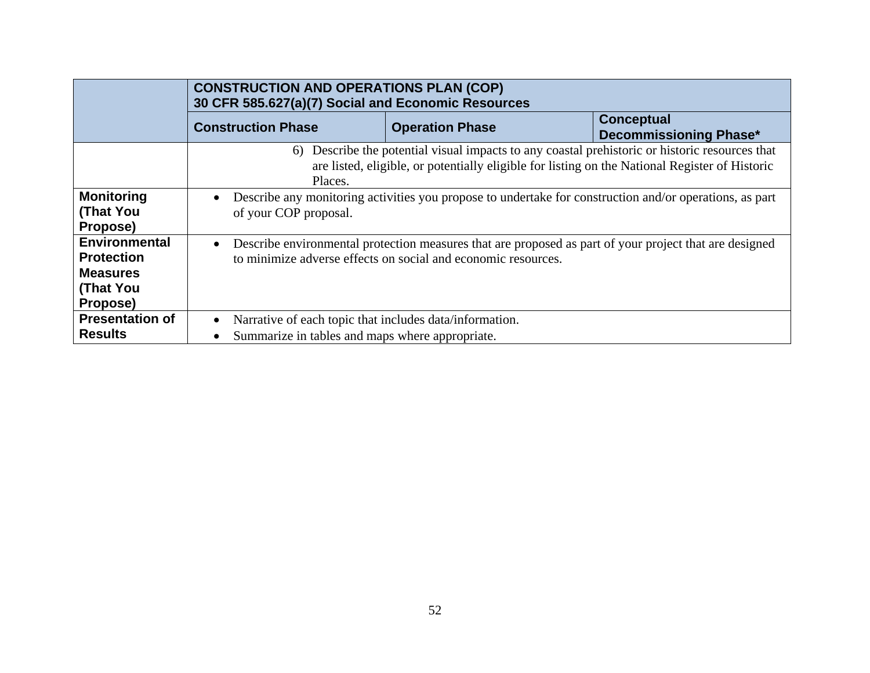|                                                                                              | <b>CONSTRUCTION AND OPERATIONS PLAN (COP)</b><br>30 CFR 585.627(a)(7) Social and Economic Resources                                                                                                            |                        |                                             |  |  |
|----------------------------------------------------------------------------------------------|----------------------------------------------------------------------------------------------------------------------------------------------------------------------------------------------------------------|------------------------|---------------------------------------------|--|--|
|                                                                                              | <b>Construction Phase</b>                                                                                                                                                                                      | <b>Operation Phase</b> | Conceptual<br><b>Decommissioning Phase*</b> |  |  |
|                                                                                              | Describe the potential visual impacts to any coastal prehistoric or historic resources that<br>6)<br>are listed, eligible, or potentially eligible for listing on the National Register of Historic<br>Places. |                        |                                             |  |  |
| <b>Monitoring</b><br><b>(That You</b><br>Propose)                                            | Describe any monitoring activities you propose to undertake for construction and/or operations, as part<br>of your COP proposal.                                                                               |                        |                                             |  |  |
| <b>Environmental</b><br><b>Protection</b><br><b>Measures</b><br><b>(That You</b><br>Propose) | Describe environmental protection measures that are proposed as part of your project that are designed<br>to minimize adverse effects on social and economic resources,                                        |                        |                                             |  |  |
| <b>Presentation of</b><br><b>Results</b>                                                     | Narrative of each topic that includes data information.<br>Summarize in tables and maps where appropriate.                                                                                                     |                        |                                             |  |  |
|                                                                                              |                                                                                                                                                                                                                |                        |                                             |  |  |

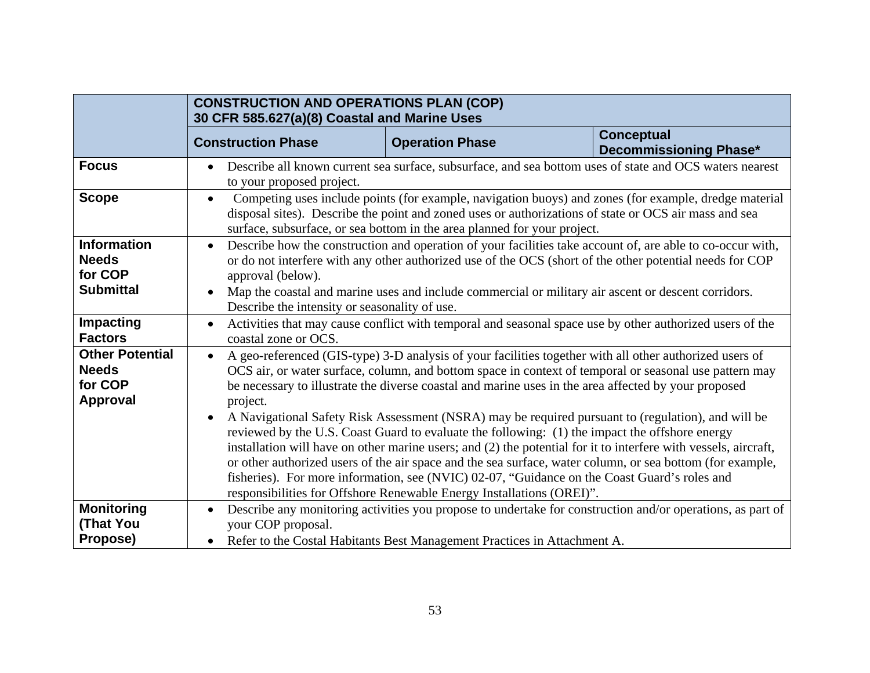|                                                                      | <b>CONSTRUCTION AND OPERATIONS PLAN (COP)</b><br>30 CFR 585.627(a)(8) Coastal and Marine Uses                                                                                                                                                                                                                                                                                                                                                                                                                                                                                                                                                                                                                                                                                                                                                                                                                                                                                    |                        |                                             |  |
|----------------------------------------------------------------------|----------------------------------------------------------------------------------------------------------------------------------------------------------------------------------------------------------------------------------------------------------------------------------------------------------------------------------------------------------------------------------------------------------------------------------------------------------------------------------------------------------------------------------------------------------------------------------------------------------------------------------------------------------------------------------------------------------------------------------------------------------------------------------------------------------------------------------------------------------------------------------------------------------------------------------------------------------------------------------|------------------------|---------------------------------------------|--|
|                                                                      | <b>Construction Phase</b>                                                                                                                                                                                                                                                                                                                                                                                                                                                                                                                                                                                                                                                                                                                                                                                                                                                                                                                                                        | <b>Operation Phase</b> | Conceptual<br><b>Decommissioning Phase*</b> |  |
| <b>Focus</b>                                                         | Describe all known current sea surface, subsurface, and sea bottom uses of state and OCS waters nearest<br>$\bullet$<br>to your proposed project.                                                                                                                                                                                                                                                                                                                                                                                                                                                                                                                                                                                                                                                                                                                                                                                                                                |                        |                                             |  |
| <b>Scope</b>                                                         | Competing uses include points (for example, navigation buoys) and zones (for example, dredge material<br>$\bullet$<br>disposal sites). Describe the point and zoned uses or authorizations of state or OCS air mass and sea<br>surface, subsurface, or sea bottom in the area planned for your project.                                                                                                                                                                                                                                                                                                                                                                                                                                                                                                                                                                                                                                                                          |                        |                                             |  |
| <b>Information</b><br><b>Needs</b><br>for COP<br><b>Submittal</b>    | Describe how the construction and operation of your facilities take account of, are able to co-occur with,<br>$\bullet$<br>or do not interfere with any other authorized use of the OCS (short of the other potential needs for COP<br>approval (below).<br>Map the coastal and marine uses and include commercial or military air ascent or descent corridors.<br>$\bullet$<br>Describe the intensity or seasonality of use.                                                                                                                                                                                                                                                                                                                                                                                                                                                                                                                                                    |                        |                                             |  |
| Impacting<br><b>Factors</b>                                          | Activities that may cause conflict with temporal and seasonal space use by other authorized users of the<br>$\bullet$<br>coastal zone or OCS.                                                                                                                                                                                                                                                                                                                                                                                                                                                                                                                                                                                                                                                                                                                                                                                                                                    |                        |                                             |  |
| <b>Other Potential</b><br><b>Needs</b><br>for COP<br><b>Approval</b> | A geo-referenced (GIS-type) 3-D analysis of your facilities together with all other authorized users of<br>$\bullet$<br>OCS air, or water surface, column, and bottom space in context of temporal or seasonal use pattern may<br>be necessary to illustrate the diverse coastal and marine uses in the area affected by your proposed<br>project.<br>A Navigational Safety Risk Assessment (NSRA) may be required pursuant to (regulation), and will be<br>$\bullet$<br>reviewed by the U.S. Coast Guard to evaluate the following: (1) the impact the offshore energy<br>installation will have on other marine users; and (2) the potential for it to interfere with vessels, aircraft,<br>or other authorized users of the air space and the sea surface, water column, or sea bottom (for example,<br>fisheries). For more information, see (NVIC) 02-07, "Guidance on the Coast Guard's roles and<br>responsibilities for Offshore Renewable Energy Installations (OREI)". |                        |                                             |  |
| <b>Monitoring</b><br>(That You<br>Propose)                           | Describe any monitoring activities you propose to undertake for construction and/or operations, as part of<br>$\bullet$<br>your COP proposal.<br>Refer to the Costal Habitants Best Management Practices in Attachment A.<br>$\bullet$                                                                                                                                                                                                                                                                                                                                                                                                                                                                                                                                                                                                                                                                                                                                           |                        |                                             |  |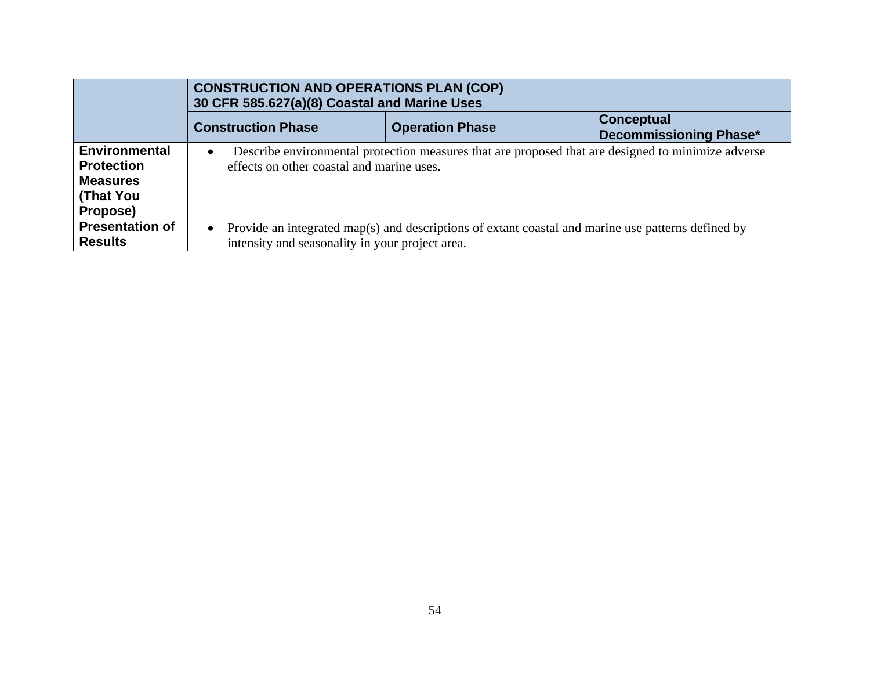|                                                                                       | <b>CONSTRUCTION AND OPERATIONS PLAN (COP)</b><br>30 CFR 585.627(a)(8) Coastal and Marine Uses                                                                |                        |                                                    |  |  |  |
|---------------------------------------------------------------------------------------|--------------------------------------------------------------------------------------------------------------------------------------------------------------|------------------------|----------------------------------------------------|--|--|--|
|                                                                                       | <b>Construction Phase</b>                                                                                                                                    | <b>Operation Phase</b> | <b>Conceptual</b><br><b>Decommissioning Phase*</b> |  |  |  |
| <b>Environmental</b><br><b>Protection</b><br><b>Measures</b><br>(That You<br>Propose) | Describe environmental protection measures that are proposed that are designed to minimize adverse<br>$\bullet$<br>effects on other coastal and marine uses. |                        |                                                    |  |  |  |
| <b>Presentation of</b><br><b>Results</b>                                              | Provide an integrated map(s) and descriptions of extant coastal and marine use patterns defined by<br>intensity and seasonality in your project area.        |                        |                                                    |  |  |  |
|                                                                                       |                                                                                                                                                              |                        |                                                    |  |  |  |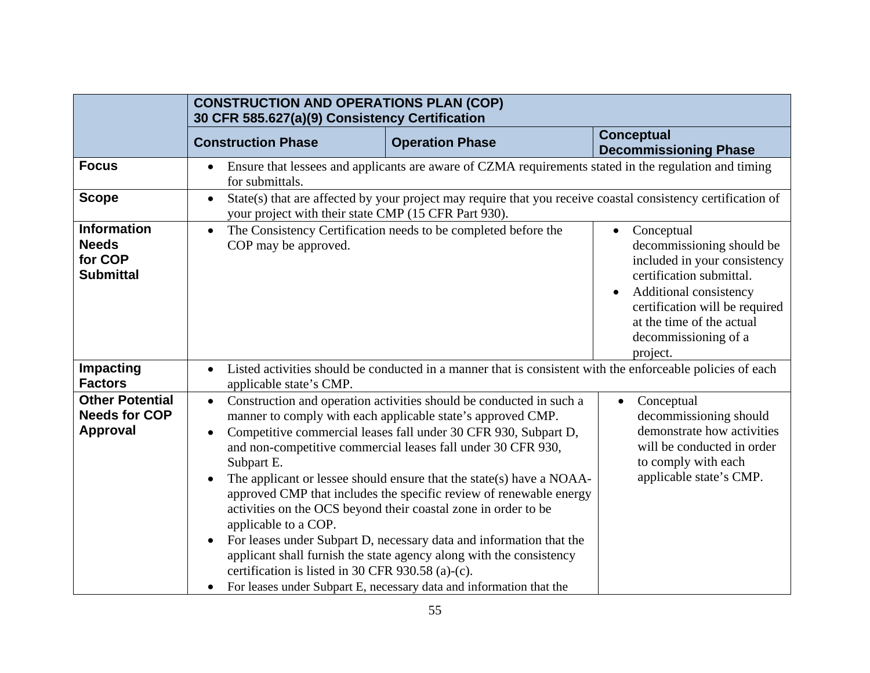|                                                                   | <b>CONSTRUCTION AND OPERATIONS PLAN (COP)</b><br>30 CFR 585.627(a)(9) Consistency Certification                                                                                   |                                                                                                                                                                                                                                                                                                                                                                                                                                                                                                                                                                                                                                                                                                            |                                                                                                                                                                                                                                  |  |  |
|-------------------------------------------------------------------|-----------------------------------------------------------------------------------------------------------------------------------------------------------------------------------|------------------------------------------------------------------------------------------------------------------------------------------------------------------------------------------------------------------------------------------------------------------------------------------------------------------------------------------------------------------------------------------------------------------------------------------------------------------------------------------------------------------------------------------------------------------------------------------------------------------------------------------------------------------------------------------------------------|----------------------------------------------------------------------------------------------------------------------------------------------------------------------------------------------------------------------------------|--|--|
|                                                                   | <b>Construction Phase</b>                                                                                                                                                         | <b>Operation Phase</b>                                                                                                                                                                                                                                                                                                                                                                                                                                                                                                                                                                                                                                                                                     | <b>Conceptual</b><br><b>Decommissioning Phase</b>                                                                                                                                                                                |  |  |
| <b>Focus</b>                                                      | Ensure that lessees and applicants are aware of CZMA requirements stated in the regulation and timing<br>$\bullet$<br>for submittals.                                             |                                                                                                                                                                                                                                                                                                                                                                                                                                                                                                                                                                                                                                                                                                            |                                                                                                                                                                                                                                  |  |  |
| <b>Scope</b>                                                      | State(s) that are affected by your project may require that you receive coastal consistency certification of<br>$\bullet$<br>your project with their state CMP (15 CFR Part 930). |                                                                                                                                                                                                                                                                                                                                                                                                                                                                                                                                                                                                                                                                                                            |                                                                                                                                                                                                                                  |  |  |
| <b>Information</b><br><b>Needs</b><br>for COP<br><b>Submittal</b> | $\bullet$<br>COP may be approved.                                                                                                                                                 | The Consistency Certification needs to be completed before the                                                                                                                                                                                                                                                                                                                                                                                                                                                                                                                                                                                                                                             | Conceptual<br>decommissioning should be<br>included in your consistency<br>certification submittal.<br>Additional consistency<br>certification will be required<br>at the time of the actual<br>decommissioning of a<br>project. |  |  |
| Impacting<br><b>Factors</b>                                       | Listed activities should be conducted in a manner that is consistent with the enforceable policies of each<br>applicable state's CMP.                                             |                                                                                                                                                                                                                                                                                                                                                                                                                                                                                                                                                                                                                                                                                                            |                                                                                                                                                                                                                                  |  |  |
| <b>Other Potential</b><br><b>Needs for COP</b><br><b>Approval</b> | $\bullet$<br>Subpart E.<br>$\bullet$<br>applicable to a <sup><math>\mathsf{COP}.</math></sup><br>certification is listed in 30 CFR 930.58 (a)-(c).<br>$\bullet$                   | Construction and operation activities should be conducted in such a<br>manner to comply with each applicable state's approved CMP.<br>Competitive commercial leases fall under 30 CFR 930, Subpart D,<br>and non-competitive commercial leases fall under 30 CFR 930,<br>The applicant or lessee should ensure that the state(s) have a NOAA-<br>approved CMP that includes the specific review of renewable energy<br>activities on the OCS beyond their coastal zone in order to be<br>For leases under Subpart D, necessary data and information that the<br>applicant shall furnish the state agency along with the consistency<br>For leases under Subpart E, necessary data and information that the | Conceptual<br>$\bullet$<br>decommissioning should<br>demonstrate how activities<br>will be conducted in order<br>to comply with each<br>applicable state's CMP.                                                                  |  |  |